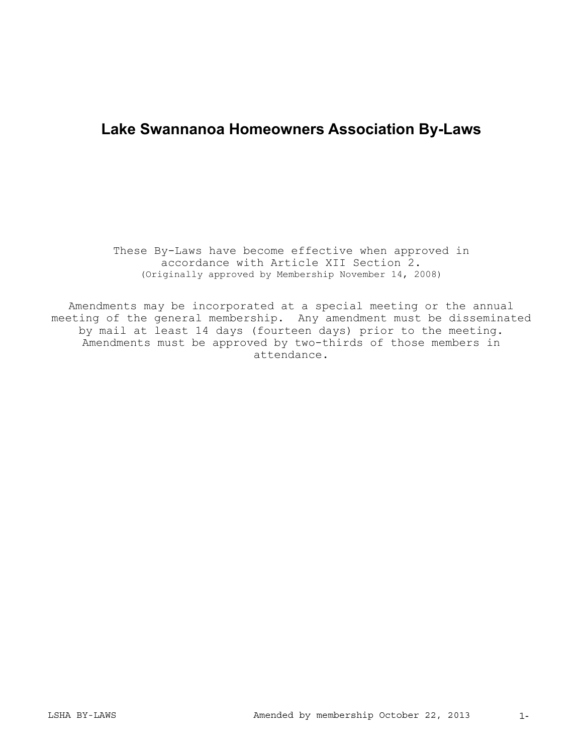# **Lake Swannanoa Homeowners Association By-Laws**

These By-Laws have become effective when approved in accordance with Article XII Section 2. (Originally approved by Membership November 14, 2008)

Amendments may be incorporated at a special meeting or the annual meeting of the general membership. Any amendment must be disseminated by mail at least 14 days (fourteen days) prior to the meeting. Amendments must be approved by two-thirds of those members in attendance.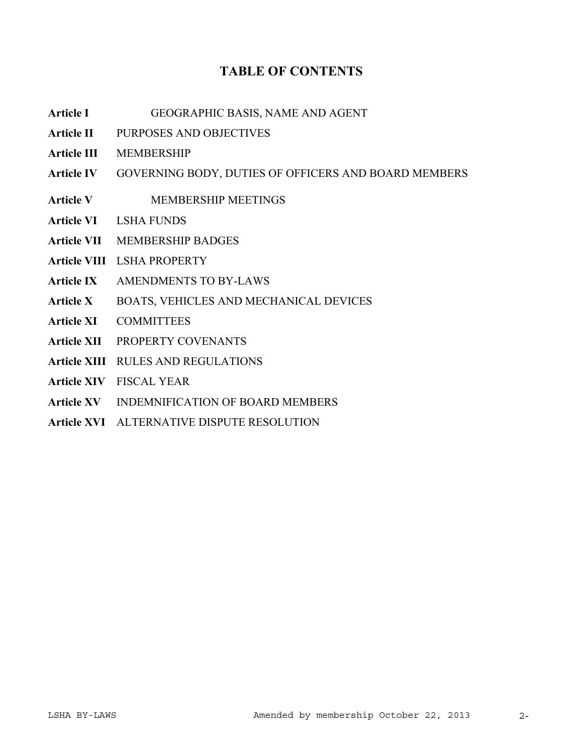# **TABLE OF CONTENTS**

- **Article I** GEOGRAPHIC BASIS, NAME AND AGENT
- Article **II** PURPOSES AND OBJECTIVES
- **Article III** MEMBERSHIP
- Article IV GOVERNING BODY, DUTIES OF OFFICERS AND BOARD MEMBERS
- Article V **MEMBERSHIP MEETINGS**
- **Article VI** LSHA FUNDS
- **Article VII** MEMBERSHIP BADGES
- **Article VIII** LSHA PROPERTY
- Article IX AMENDMENTS TO BY-LAWS
- Article X BOATS, VEHICLES AND MECHANICAL DEVICES
- **Article XI** COMMITTEES
- **Article XII** PROPERTY COVENANTS
- **Article XIII** RULES AND REGULATIONS
- **Article XIV** FISCAL YEAR
- **Article XV** INDEMNIFICATION OF BOARD MEMBERS
- **Article XVI** ALTERNATIVE DISPUTE RESOLUTION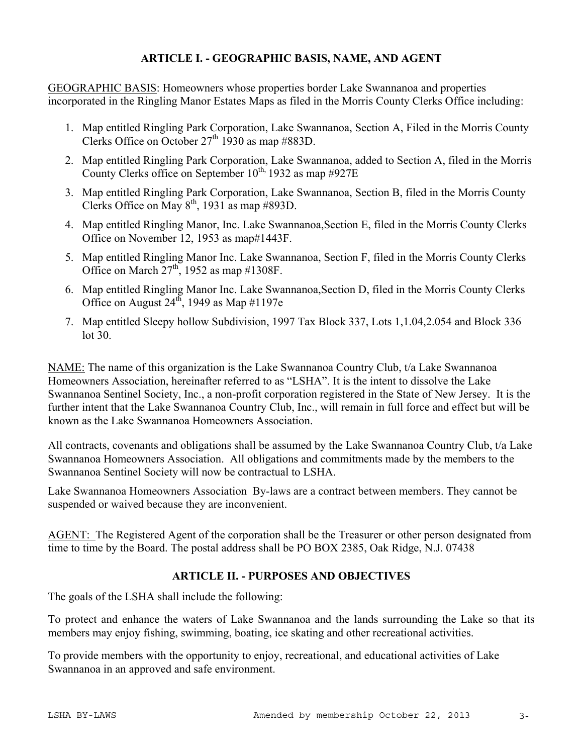## **ARTICLE I. - GEOGRAPHIC BASIS, NAME, AND AGENT**

GEOGRAPHIC BASIS: Homeowners whose properties border Lake Swannanoa and properties incorporated in the Ringling Manor Estates Maps as filed in the Morris County Clerks Office including:

- 1. Map entitled Ringling Park Corporation, Lake Swannanoa, Section A, Filed in the Morris County Clerks Office on October  $27<sup>th</sup> 1930$  as map #883D.
- 2. Map entitled Ringling Park Corporation, Lake Swannanoa, added to Section A, filed in the Morris County Clerks office on September  $10^{th}$ , 1932 as map  $\#927E$
- 3. Map entitled Ringling Park Corporation, Lake Swannanoa, Section B, filed in the Morris County Clerks Office on May  $8<sup>th</sup>$ , 1931 as map #893D.
- 4. Map entitled Ringling Manor, Inc. Lake Swannanoa,Section E, filed in the Morris County Clerks Office on November 12, 1953 as map#1443F.
- 5. Map entitled Ringling Manor Inc. Lake Swannanoa, Section F, filed in the Morris County Clerks Office on March  $27<sup>th</sup>$ , 1952 as map #1308F.
- 6. Map entitled Ringling Manor Inc. Lake Swannanoa,Section D, filed in the Morris County Clerks Office on August  $24^{th}$ , 1949 as Map #1197e
- 7. Map entitled Sleepy hollow Subdivision, 1997 Tax Block 337, Lots 1,1.04,2.054 and Block 336 lot 30.

NAME: The name of this organization is the Lake Swannanoa Country Club, t/a Lake Swannanoa Homeowners Association, hereinafter referred to as "LSHA". It is the intent to dissolve the Lake Swannanoa Sentinel Society, Inc., a non-profit corporation registered in the State of New Jersey. It is the further intent that the Lake Swannanoa Country Club, Inc., will remain in full force and effect but will be known as the Lake Swannanoa Homeowners Association.

All contracts, covenants and obligations shall be assumed by the Lake Swannanoa Country Club, t/a Lake Swannanoa Homeowners Association. All obligations and commitments made by the members to the Swannanoa Sentinel Society will now be contractual to LSHA.

Lake Swannanoa Homeowners Association By-laws are a contract between members. They cannot be suspended or waived because they are inconvenient.

AGENT: The Registered Agent of the corporation shall be the Treasurer or other person designated from time to time by the Board. The postal address shall be PO BOX 2385, Oak Ridge, N.J. 07438

# **ARTICLE II. - PURPOSES AND OBJECTIVES**

The goals of the LSHA shall include the following:

To protect and enhance the waters of Lake Swannanoa and the lands surrounding the Lake so that its members may enjoy fishing, swimming, boating, ice skating and other recreational activities.

To provide members with the opportunity to enjoy, recreational, and educational activities of Lake Swannanoa in an approved and safe environment.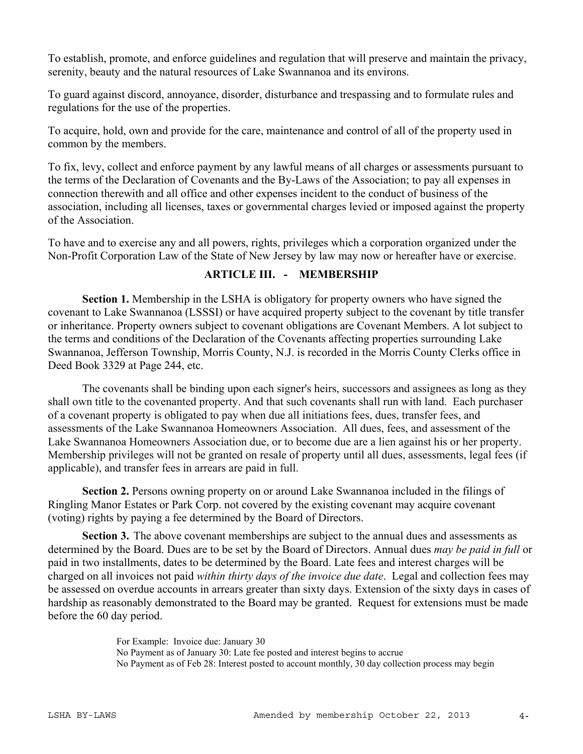To establish, promote, and enforce guidelines and regulation that will preserve and maintain the privacy, serenity, beauty and the natural resources of Lake Swannanoa and its environs.

To guard against discord, annoyance, disorder, disturbance and trespassing and to formulate rules and regulations for the use of the properties.

To acquire, hold, own and provide for the care, maintenance and control of all of the property used in common by the members.

To fix, levy, collect and enforce payment by any lawful means of all charges or assessments pursuant to the terms of the Declaration of Covenants and the By-Laws of the Association; to pay all expenses in connection therewith and all office and other expenses incident to the conduct of business of the association, including all licenses, taxes or governmental charges levied or imposed against the property of the Association.

To have and to exercise any and all powers, rights, privileges which a corporation organized under the Non-Profit Corporation Law of the State of New Jersey by law may now or hereafter have or exercise.

# **ARTICLE III. - MEMBERSHIP**

**Section 1.** Membership in the LSHA is obligatory for property owners who have signed the covenant to Lake Swannanoa (LSSSI) or have acquired property subject to the covenant by title transfer or inheritance. Property owners subject to covenant obligations are Covenant Members. A lot subject to the terms and conditions of the Declaration of the Covenants affecting properties surrounding Lake Swannanoa, Jefferson Township, Morris County, N.J. is recorded in the Morris County Clerks office in Deed Book 3329 at Page 244, etc.

The covenants shall be binding upon each signer's heirs, successors and assignees as long as they shall own title to the covenanted property. And that such covenants shall run with land. Each purchaser of a covenant property is obligated to pay when due all initiations fees, dues, transfer fees, and assessments of the Lake Swannanoa Homeowners Association. All dues, fees, and assessment of the Lake Swannanoa Homeowners Association due, or to become due are a lien against his or her property. Membership privileges will not be granted on resale of property until all dues, assessments, legal fees (if applicable), and transfer fees in arrears are paid in full.

**Section 2.** Persons owning property on or around Lake Swannanoa included in the filings of Ringling Manor Estates or Park Corp. not covered by the existing covenant may acquire covenant (voting) rights by paying a fee determined by the Board of Directors.

**Section 3.** The above covenant memberships are subject to the annual dues and assessments as determined by the Board. Dues are to be set by the Board of Directors. Annual dues *may be paid in full* or paid in two installments, dates to be determined by the Board. Late fees and interest charges will be charged on all invoices not paid *within thirty days of the invoice due date*. Legal and collection fees may be assessed on overdue accounts in arrears greater than sixty days. Extension of the sixty days in cases of hardship as reasonably demonstrated to the Board may be granted. Request for extensions must be made before the 60 day period.

> For Example: Invoice due: January 30 No Payment as of January 30: Late fee posted and interest begins to accrue No Payment as of Feb 28: Interest posted to account monthly, 30 day collection process may begin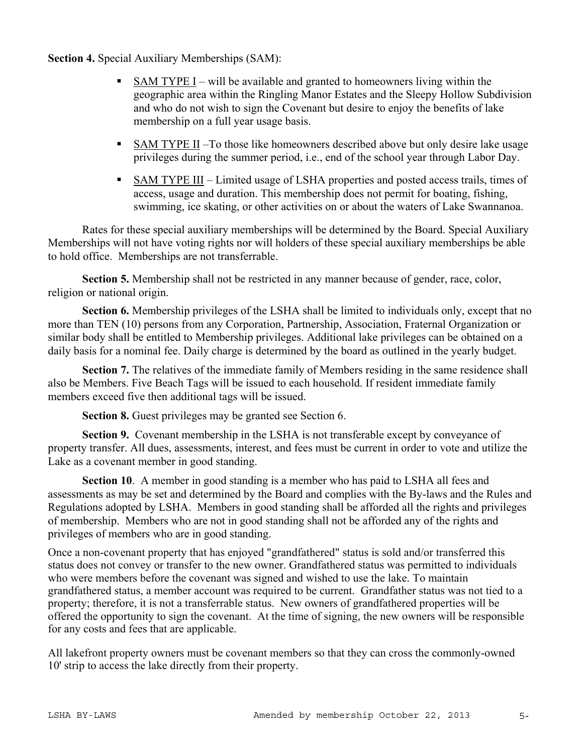**Section 4.** Special Auxiliary Memberships (SAM):

- $\blacksquare$  SAM TYPE I will be available and granted to homeowners living within the geographic area within the Ringling Manor Estates and the Sleepy Hollow Subdivision and who do not wish to sign the Covenant but desire to enjoy the benefits of lake membership on a full year usage basis.
- SAM TYPE II –To those like homeowners described above but only desire lake usage privileges during the summer period, i.e., end of the school year through Labor Day.
- SAM TYPE III Limited usage of LSHA properties and posted access trails, times of access, usage and duration. This membership does not permit for boating, fishing, swimming, ice skating, or other activities on or about the waters of Lake Swannanoa.

Rates for these special auxiliary memberships will be determined by the Board. Special Auxiliary Memberships will not have voting rights nor will holders of these special auxiliary memberships be able to hold office. Memberships are not transferrable.

**Section 5.** Membership shall not be restricted in any manner because of gender, race, color, religion or national origin.

**Section 6.** Membership privileges of the LSHA shall be limited to individuals only, except that no more than TEN (10) persons from any Corporation, Partnership, Association, Fraternal Organization or similar body shall be entitled to Membership privileges. Additional lake privileges can be obtained on a daily basis for a nominal fee. Daily charge is determined by the board as outlined in the yearly budget.

**Section 7.** The relatives of the immediate family of Members residing in the same residence shall also be Members. Five Beach Tags will be issued to each household. If resident immediate family members exceed five then additional tags will be issued.

**Section 8.** Guest privileges may be granted see Section 6.

**Section 9.** Covenant membership in the LSHA is not transferable except by conveyance of property transfer. All dues, assessments, interest, and fees must be current in order to vote and utilize the Lake as a covenant member in good standing.

**Section 10**. A member in good standing is a member who has paid to LSHA all fees and assessments as may be set and determined by the Board and complies with the By-laws and the Rules and Regulations adopted by LSHA. Members in good standing shall be afforded all the rights and privileges of membership. Members who are not in good standing shall not be afforded any of the rights and privileges of members who are in good standing.

Once a non-covenant property that has enjoyed "grandfathered" status is sold and/or transferred this status does not convey or transfer to the new owner. Grandfathered status was permitted to individuals who were members before the covenant was signed and wished to use the lake. To maintain grandfathered status, a member account was required to be current. Grandfather status was not tied to a property; therefore, it is not a transferrable status. New owners of grandfathered properties will be offered the opportunity to sign the covenant. At the time of signing, the new owners will be responsible for any costs and fees that are applicable.

All lakefront property owners must be covenant members so that they can cross the commonly-owned 10' strip to access the lake directly from their property.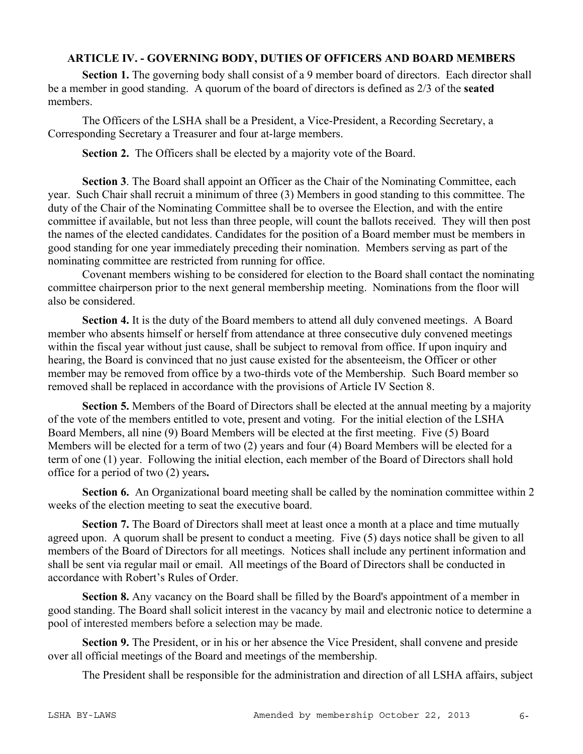#### **ARTICLE IV. - GOVERNING BODY, DUTIES OF OFFICERS AND BOARD MEMBERS**

**Section 1.** The governing body shall consist of a 9 member board of directors. Each director shall be a member in good standing. A quorum of the board of directors is defined as 2/3 of the **seated** members.

The Officers of the LSHA shall be a President, a Vice-President, a Recording Secretary, a Corresponding Secretary a Treasurer and four at-large members.

**Section 2.** The Officers shall be elected by a majority vote of the Board.

**Section 3**. The Board shall appoint an Officer as the Chair of the Nominating Committee, each year. Such Chair shall recruit a minimum of three (3) Members in good standing to this committee. The duty of the Chair of the Nominating Committee shall be to oversee the Election, and with the entire committee if available, but not less than three people, will count the ballots received. They will then post the names of the elected candidates. Candidates for the position of a Board member must be members in good standing for one year immediately preceding their nomination. Members serving as part of the nominating committee are restricted from running for office.

 Covenant members wishing to be considered for election to the Board shall contact the nominating committee chairperson prior to the next general membership meeting. Nominations from the floor will also be considered.

**Section 4.** It is the duty of the Board members to attend all duly convened meetings. A Board member who absents himself or herself from attendance at three consecutive duly convened meetings within the fiscal year without just cause, shall be subject to removal from office. If upon inquiry and hearing, the Board is convinced that no just cause existed for the absenteeism, the Officer or other member may be removed from office by a two-thirds vote of the Membership. Such Board member so removed shall be replaced in accordance with the provisions of Article IV Section 8.

**Section 5.** Members of the Board of Directors shall be elected at the annual meeting by a majority of the vote of the members entitled to vote, present and voting. For the initial election of the LSHA Board Members, all nine (9) Board Members will be elected at the first meeting. Five (5) Board Members will be elected for a term of two (2) years and four (4) Board Members will be elected for a term of one (1) year. Following the initial election, each member of the Board of Directors shall hold office for a period of two (2) years**.** 

**Section 6.** An Organizational board meeting shall be called by the nomination committee within 2 weeks of the election meeting to seat the executive board.

**Section 7.** The Board of Directors shall meet at least once a month at a place and time mutually agreed upon. A quorum shall be present to conduct a meeting. Five (5) days notice shall be given to all members of the Board of Directors for all meetings. Notices shall include any pertinent information and shall be sent via regular mail or email. All meetings of the Board of Directors shall be conducted in accordance with Robert's Rules of Order.

**Section 8.** Any vacancy on the Board shall be filled by the Board's appointment of a member in good standing. The Board shall solicit interest in the vacancy by mail and electronic notice to determine a pool of interested members before a selection may be made.

**Section 9.** The President, or in his or her absence the Vice President, shall convene and preside over all official meetings of the Board and meetings of the membership.

The President shall be responsible for the administration and direction of all LSHA affairs, subject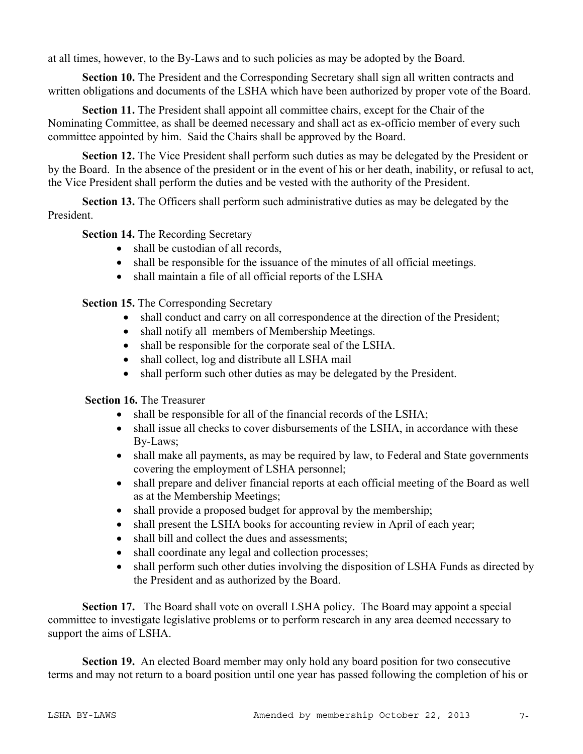at all times, however, to the By-Laws and to such policies as may be adopted by the Board.

**Section 10.** The President and the Corresponding Secretary shall sign all written contracts and written obligations and documents of the LSHA which have been authorized by proper vote of the Board.

**Section 11.** The President shall appoint all committee chairs, except for the Chair of the Nominating Committee, as shall be deemed necessary and shall act as ex-officio member of every such committee appointed by him. Said the Chairs shall be approved by the Board.

**Section 12.** The Vice President shall perform such duties as may be delegated by the President or by the Board. In the absence of the president or in the event of his or her death, inability, or refusal to act, the Vice President shall perform the duties and be vested with the authority of the President.

**Section 13.** The Officers shall perform such administrative duties as may be delegated by the President.

**Section 14.** The Recording Secretary

- shall be custodian of all records,
- shall be responsible for the issuance of the minutes of all official meetings.
- shall maintain a file of all official reports of the LSHA

**Section 15.** The Corresponding Secretary

- shall conduct and carry on all correspondence at the direction of the President;
- shall notify all members of Membership Meetings.
- shall be responsible for the corporate seal of the LSHA.
- shall collect, log and distribute all LSHA mail
- shall perform such other duties as may be delegated by the President.

**Section 16.** The Treasurer

- $\bullet$  shall be responsible for all of the financial records of the LSHA;
- shall issue all checks to cover disbursements of the LSHA, in accordance with these By-Laws;
- shall make all payments, as may be required by law, to Federal and State governments covering the employment of LSHA personnel;
- shall prepare and deliver financial reports at each official meeting of the Board as well as at the Membership Meetings;
- shall provide a proposed budget for approval by the membership;
- shall present the LSHA books for accounting review in April of each year;
- shall bill and collect the dues and assessments;
- shall coordinate any legal and collection processes;
- shall perform such other duties involving the disposition of LSHA Funds as directed by the President and as authorized by the Board.

**Section 17.** The Board shall vote on overall LSHA policy. The Board may appoint a special committee to investigate legislative problems or to perform research in any area deemed necessary to support the aims of LSHA.

**Section 19.** An elected Board member may only hold any board position for two consecutive terms and may not return to a board position until one year has passed following the completion of his or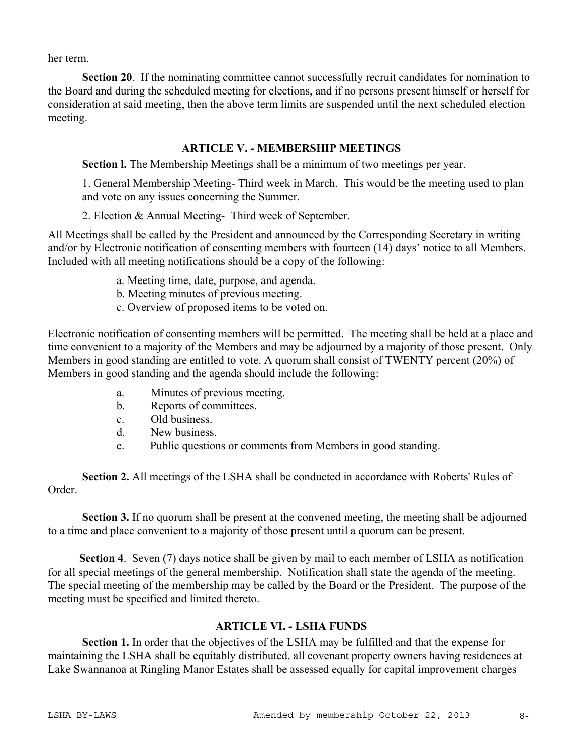her term.

**Section 20.** If the nominating committee cannot successfully recruit candidates for nomination to the Board and during the scheduled meeting for elections, and if no persons present himself or herself for consideration at said meeting, then the above term limits are suspended until the next scheduled election meeting.

#### **ARTICLE V. - MEMBERSHIP MEETINGS**

**Section l.** The Membership Meetings shall be a minimum of two meetings per year.

1. General Membership Meeting- Third week in March. This would be the meeting used to plan and vote on any issues concerning the Summer.

2. Election & Annual Meeting- Third week of September.

All Meetings shall be called by the President and announced by the Corresponding Secretary in writing and/or by Electronic notification of consenting members with fourteen (14) days' notice to all Members. Included with all meeting notifications should be a copy of the following:

- a. Meeting time, date, purpose, and agenda.
- b. Meeting minutes of previous meeting.
- c. Overview of proposed items to be voted on.

Electronic notification of consenting members will be permitted. The meeting shall be held at a place and time convenient to a majority of the Members and may be adjourned by a majority of those present. Only Members in good standing are entitled to vote. A quorum shall consist of TWENTY percent (20%) of Members in good standing and the agenda should include the following:

- a. Minutes of previous meeting.
- b. Reports of committees.
- c. Old business.
- d. New business.
- e. Public questions or comments from Members in good standing.

**Section 2.** All meetings of the LSHA shall be conducted in accordance with Roberts' Rules of Order.

**Section 3.** If no quorum shall be present at the convened meeting, the meeting shall be adjourned to a time and place convenient to a majority of those present until a quorum can be present.

 **Section 4**. Seven (7) days notice shall be given by mail to each member of LSHA as notification for all special meetings of the general membership. Notification shall state the agenda of the meeting. The special meeting of the membership may be called by the Board or the President. The purpose of the meeting must be specified and limited thereto.

## **ARTICLE VI. - LSHA FUNDS**

**Section 1.** In order that the objectives of the LSHA may be fulfilled and that the expense for maintaining the LSHA shall be equitably distributed, all covenant property owners having residences at Lake Swannanoa at Ringling Manor Estates shall be assessed equally for capital improvement charges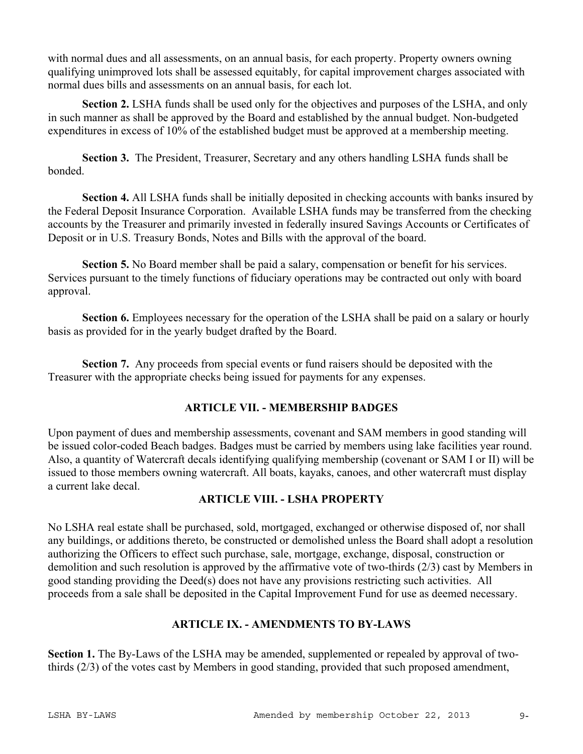with normal dues and all assessments, on an annual basis, for each property. Property owners owning qualifying unimproved lots shall be assessed equitably, for capital improvement charges associated with normal dues bills and assessments on an annual basis, for each lot.

**Section 2.** LSHA funds shall be used only for the objectives and purposes of the LSHA, and only in such manner as shall be approved by the Board and established by the annual budget. Non-budgeted expenditures in excess of 10% of the established budget must be approved at a membership meeting.

**Section 3.** The President, Treasurer, Secretary and any others handling LSHA funds shall be bonded.

**Section 4.** All LSHA funds shall be initially deposited in checking accounts with banks insured by the Federal Deposit Insurance Corporation. Available LSHA funds may be transferred from the checking accounts by the Treasurer and primarily invested in federally insured Savings Accounts or Certificates of Deposit or in U.S. Treasury Bonds, Notes and Bills with the approval of the board.

**Section 5.** No Board member shall be paid a salary, compensation or benefit for his services. Services pursuant to the timely functions of fiduciary operations may be contracted out only with board approval.

**Section 6.** Employees necessary for the operation of the LSHA shall be paid on a salary or hourly basis as provided for in the yearly budget drafted by the Board.

**Section 7.** Any proceeds from special events or fund raisers should be deposited with the Treasurer with the appropriate checks being issued for payments for any expenses.

# **ARTICLE VII. - MEMBERSHIP BADGES**

Upon payment of dues and membership assessments, covenant and SAM members in good standing will be issued color-coded Beach badges. Badges must be carried by members using lake facilities year round. Also, a quantity of Watercraft decals identifying qualifying membership (covenant or SAM I or II) will be issued to those members owning watercraft. All boats, kayaks, canoes, and other watercraft must display a current lake decal.

# **ARTICLE VIII. - LSHA PROPERTY**

No LSHA real estate shall be purchased, sold, mortgaged, exchanged or otherwise disposed of, nor shall any buildings, or additions thereto, be constructed or demolished unless the Board shall adopt a resolution authorizing the Officers to effect such purchase, sale, mortgage, exchange, disposal, construction or demolition and such resolution is approved by the affirmative vote of two-thirds (2/3) cast by Members in good standing providing the Deed(s) does not have any provisions restricting such activities. All proceeds from a sale shall be deposited in the Capital Improvement Fund for use as deemed necessary.

# **ARTICLE IX. - AMENDMENTS TO BY-LAWS**

**Section 1.** The By-Laws of the LSHA may be amended, supplemented or repealed by approval of twothirds (2/3) of the votes cast by Members in good standing, provided that such proposed amendment,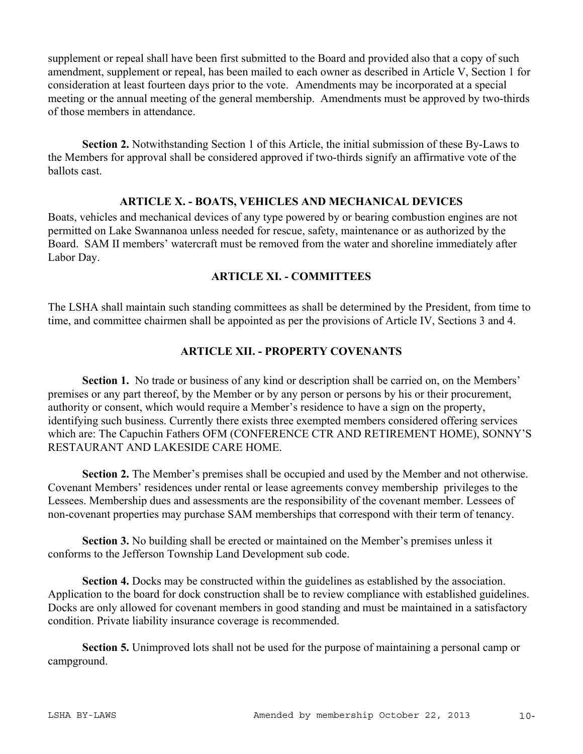supplement or repeal shall have been first submitted to the Board and provided also that a copy of such amendment, supplement or repeal, has been mailed to each owner as described in Article V, Section 1 for consideration at least fourteen days prior to the vote. Amendments may be incorporated at a special meeting or the annual meeting of the general membership. Amendments must be approved by two-thirds of those members in attendance.

**Section 2.** Notwithstanding Section 1 of this Article, the initial submission of these By-Laws to the Members for approval shall be considered approved if two-thirds signify an affirmative vote of the ballots cast.

#### **ARTICLE X. - BOATS, VEHICLES AND MECHANICAL DEVICES**

Boats, vehicles and mechanical devices of any type powered by or bearing combustion engines are not permitted on Lake Swannanoa unless needed for rescue, safety, maintenance or as authorized by the Board. SAM II members' watercraft must be removed from the water and shoreline immediately after Labor Day.

## **ARTICLE XI. - COMMITTEES**

The LSHA shall maintain such standing committees as shall be determined by the President, from time to time, and committee chairmen shall be appointed as per the provisions of Article IV, Sections 3 and 4.

## **ARTICLE XII. - PROPERTY COVENANTS**

Section 1. No trade or business of any kind or description shall be carried on, on the Members' premises or any part thereof, by the Member or by any person or persons by his or their procurement, authority or consent, which would require a Member's residence to have a sign on the property, identifying such business. Currently there exists three exempted members considered offering services which are: The Capuchin Fathers OFM (CONFERENCE CTR AND RETIREMENT HOME), SONNY'S RESTAURANT AND LAKESIDE CARE HOME.

**Section 2.** The Member's premises shall be occupied and used by the Member and not otherwise. Covenant Members' residences under rental or lease agreements convey membership privileges to the Lessees. Membership dues and assessments are the responsibility of the covenant member. Lessees of non-covenant properties may purchase SAM memberships that correspond with their term of tenancy.

**Section 3.** No building shall be erected or maintained on the Member's premises unless it conforms to the Jefferson Township Land Development sub code.

**Section 4.** Docks may be constructed within the guidelines as established by the association. Application to the board for dock construction shall be to review compliance with established guidelines. Docks are only allowed for covenant members in good standing and must be maintained in a satisfactory condition. Private liability insurance coverage is recommended.

**Section 5.** Unimproved lots shall not be used for the purpose of maintaining a personal camp or campground.